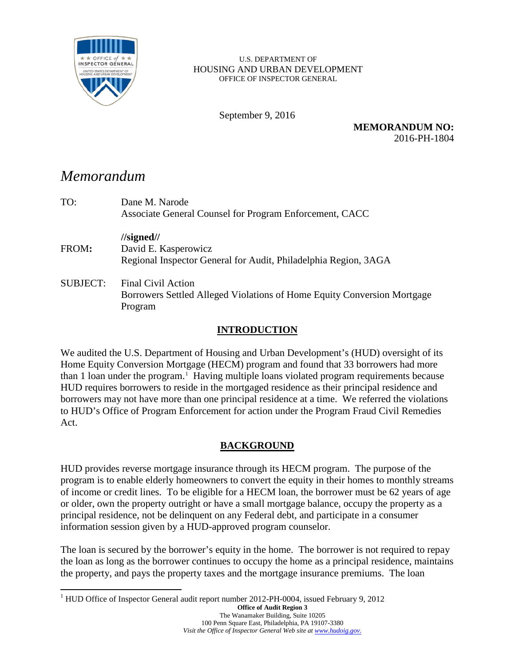

U.S. DEPARTMENT OF HOUSING AND URBAN DEVELOPMENT OFFICE OF INSPECTOR GENERAL

September 9, 2016

**MEMORANDUM NO:** 2016-PH-1804

# *Memorandum*

| TO:             | Dane M. Narode<br>Associate General Counsel for Program Enforcement, CACC                                              |
|-----------------|------------------------------------------------------------------------------------------------------------------------|
| FROM:           | $\frac{\text{I}}{\text{J}}$<br>David E. Kasperowicz<br>Regional Inspector General for Audit, Philadelphia Region, 3AGA |
| <b>SUBJECT:</b> | Final Civil Action<br>Borrowers Settled Alleged Violations of Home Equity Conversion Mortgage<br>Program               |

### **INTRODUCTION**

We audited the U.S. Department of Housing and Urban Development's (HUD) oversight of its Home Equity Conversion Mortgage (HECM) program and found that 33 borrowers had more than [1](#page-0-0) loan under the program.<sup>1</sup> Having multiple loans violated program requirements because HUD requires borrowers to reside in the mortgaged residence as their principal residence and borrowers may not have more than one principal residence at a time. We referred the violations to HUD's Office of Program Enforcement for action under the Program Fraud Civil Remedies Act.

## **BACKGROUND**

HUD provides reverse mortgage insurance through its HECM program. The purpose of the program is to enable elderly homeowners to convert the equity in their homes to monthly streams of income or credit lines. To be eligible for a HECM loan, the borrower must be 62 years of age or older, own the property outright or have a small mortgage balance, occupy the property as a principal residence, not be delinquent on any Federal debt, and participate in a consumer information session given by a HUD-approved program counselor.

The loan is secured by the borrower's equity in the home. The borrower is not required to repay the loan as long as the borrower continues to occupy the home as a principal residence, maintains the property, and pays the property taxes and the mortgage insurance premiums. The loan

<span id="page-0-0"></span><sup>&</sup>lt;sup>1</sup> HUD Office of Inspector General audit report number 2012-PH-0004, issued February 9, 2012